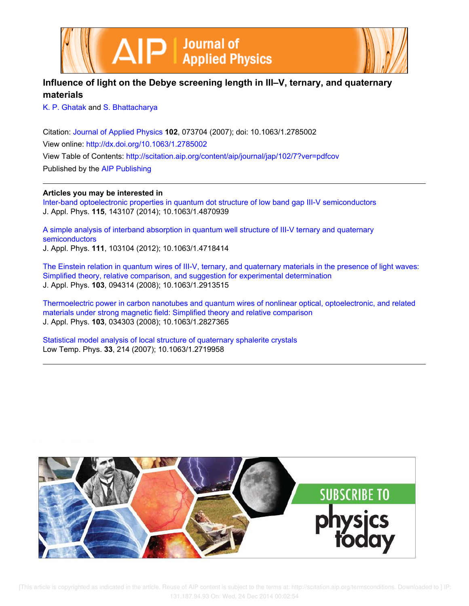



## **Influence of light on the Debye screening length in III–V, ternary, and quaternary materials**

K. P. Ghatak and S. Bhattacharya

Citation: Journal of Applied Physics **102**, 073704 (2007); doi: 10.1063/1.2785002 View online: http://dx.doi.org/10.1063/1.2785002 View Table of Contents: http://scitation.aip.org/content/aip/journal/jap/102/7?ver=pdfcov Published by the AIP Publishing

### **Articles you may be interested in**

Inter-band optoelectronic properties in quantum dot structure of low band gap III-V semiconductors J. Appl. Phys. **115**, 143107 (2014); 10.1063/1.4870939

A simple analysis of interband absorption in quantum well structure of III-V ternary and quaternary semiconductors J. Appl. Phys. **111**, 103104 (2012); 10.1063/1.4718414

The Einstein relation in quantum wires of III-V, ternary, and quaternary materials in the presence of light waves: Simplified theory, relative comparison, and suggestion for experimental determination J. Appl. Phys. **103**, 094314 (2008); 10.1063/1.2913515

Thermoelectric power in carbon nanotubes and quantum wires of nonlinear optical, optoelectronic, and related materials under strong magnetic field: Simplified theory and relative comparison J. Appl. Phys. **103**, 034303 (2008); 10.1063/1.2827365

Statistical model analysis of local structure of quaternary sphalerite crystals Low Temp. Phys. **33**, 214 (2007); 10.1063/1.2719958

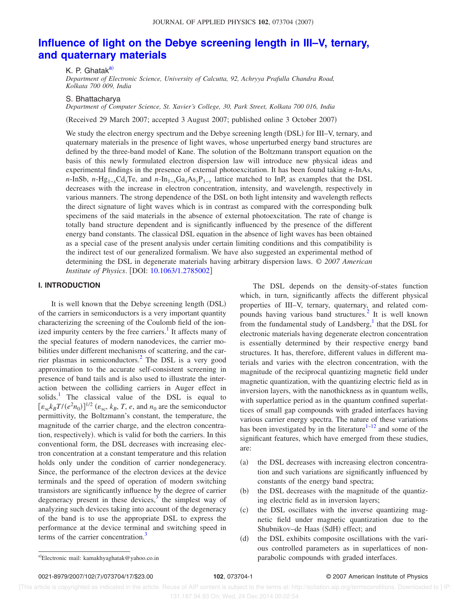#### JOURNAL OF APPLIED PHYSICS 102, 073704 (2007)

## **Influence of light on the Debye screening length in III–V, ternary, and quaternary materials**

K. P. Ghatak<sup>a)</sup>

*Department of Electronic Science, University of Calcutta, 92, Achryya Prafulla Chandra Road, Kolkata 700 009, India*

#### S. Bhattacharya

*Department of Computer Science, St. Xavier's College, 30, Park Street, Kolkata 700 016, India*

Received 29 March 2007; accepted 3 August 2007; published online 3 October 2007-

We study the electron energy spectrum and the Debye screening length (DSL) for III–V, ternary, and quaternary materials in the presence of light waves, whose unperturbed energy band structures are defined by the three-band model of Kane. The solution of the Boltzmann transport equation on the basis of this newly formulated electron dispersion law will introduce new physical ideas and experimental findings in the presence of external photoexcitation. It has been found taking *n*-InAs, *n*-InSb, *n*-Hg1−*x*Cd*x*Te, and *n*-In1−*x*Ga*x*As*y*P1−*<sup>y</sup>* lattice matched to InP, as examples that the DSL decreases with the increase in electron concentration, intensity, and wavelength, respectively in various manners. The strong dependence of the DSL on both light intensity and wavelength reflects the direct signature of light waves which is in contrast as compared with the corresponding bulk specimens of the said materials in the absence of external photoexcitation. The rate of change is totally band structure dependent and is significantly influenced by the presence of the different energy band constants. The classical DSL equation in the absence of light waves has been obtained as a special case of the present analysis under certain limiting conditions and this compatibility is the indirect test of our generalized formalism. We have also suggested an experimental method of determining the DSL in degenerate materials having arbitrary dispersion laws. © *2007 American Institute of Physics.* [DOI: 10.1063/1.2785002]

#### **I. INTRODUCTION**

It is well known that the Debye screening length (DSL) of the carriers in semiconductors is a very important quantity characterizing the screening of the Coulomb field of the ionized impurity centers by the free carriers.<sup>1</sup> It affects many of the special features of modern nanodevices, the carrier mobilities under different mechanisms of scattering, and the carrier plasmas in semiconductors.<sup>2</sup> The DSL is a very good approximation to the accurate self-consistent screening in presence of band tails and is also used to illustrate the interaction between the colliding carriers in Auger effect in solids.<sup>1</sup> The classical value of the DSL is equal to  $[\varepsilon_{\rm sc} k_B T/(e^2 n_0)]^{1/2}$  ( $\varepsilon_{\rm sc}$ ,  $k_B$ , *T*, *e*, and  $n_0$  are the semiconductor permittivity, the Boltzmann's constant, the temperature, the magnitude of the carrier charge, and the electron concentration, respectively). which is valid for both the carriers. In this conventional form, the DSL decreases with increasing electron concentration at a constant temperature and this relation holds only under the condition of carrier nondegeneracy. Since, the performance of the electron devices at the device terminals and the speed of operation of modern switching transistors are significantly influence by the degree of carrier degeneracy present in these devices, $\frac{3}{3}$  the simplest way of analyzing such devices taking into account of the degeneracy of the band is to use the appropriate DSL to express the performance at the device terminal and switching speed in terms of the carrier concentration. $\frac{3}{2}$ 

The DSL depends on the density-of-states function which, in turn, significantly affects the different physical properties of III–V, ternary, quaternary, and related compounds having various band structures.<sup>2</sup> It is well known from the fundamental study of Landsberg,<sup>1</sup> that the DSL for electronic materials having degenerate electron concentration is essentially determined by their respective energy band structures. It has, therefore, different values in different materials and varies with the electron concentration, with the magnitude of the reciprocal quantizing magnetic field under magnetic quantization, with the quantizing electric field as in inversion layers, with the nanothickness as in quantum wells, with superlattice period as in the quantum confined superlattices of small gap compounds with graded interfaces having various carrier energy spectra. The nature of these variations has been investigated by in the literature $1-12$  and some of the significant features, which have emerged from these studies, are:

- $(a)$  the DSL decreases with increasing electron concentration and such variations are significantly influenced by constants of the energy band spectra;
- $(b)$  the DSL decreases with the magnitude of the quantizing electric field as in inversion layers;
- $(c)$  the DSL oscillates with the inverse quantizing magnetic field under magnetic quantization due to the Shubnikov-de Haas (SdH) effect; and
- $(d)$  the DSL exhibits composite oscillations with the various controlled parameters as in superlattices of nonparabolic compounds with graded interfaces.

0021-8979/2007/102(7)/073704/17/\$23.00

Electronic mail: kamakhyaghatak@yahoo.co.in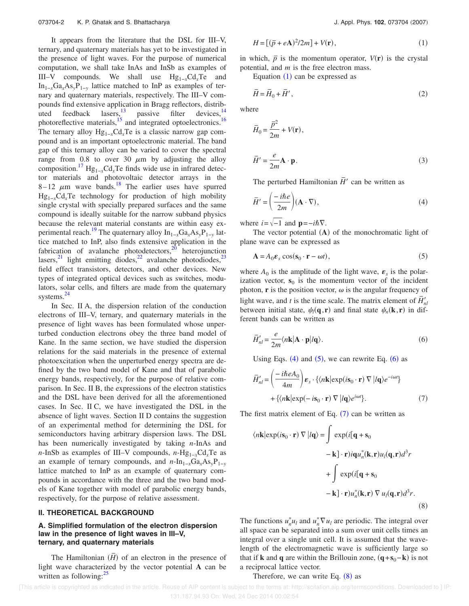It appears from the literature that the DSL for III–V, ternary, and quaternary materials has yet to be investigated in the presence of light waves. For the purpose of numerical computation, we shall take InAs and InSb as examples of III–V compounds. We shall use Hg1−*x*Cd*x*Te and In1−*x*Ga*x*As*y*P1−*<sup>y</sup>* lattice matched to InP as examples of ternary and quaternary materials, respectively. The III–V compounds find extensive application in Bragg reflectors, distributed feedback lasers, <sup>13</sup> passive filter devices.<sup>14</sup> uted feedback lasers,  $\frac{13}{4}$  passive filter photoreflective materials, $\frac{15}{15}$  and integrated optoelectronics.<sup>16</sup> The ternary alloy Hg<sub>1−*x*</sub>Cd<sub>*x*</sub>Te is a classic narrow gap compound and is an important optoelectronic material. The band gap of this ternary alloy can be varied to cover the spectral range from 0.8 to over 30  $\mu$ m by adjusting the alloy composition.<sup>17</sup> Hg<sub>1−*x*</sub>Cd<sub>*x*</sub>Te finds wide use in infrared detector materials and photovoltaic detector arrays in the  $8-12 \mu m$  wave bands.<sup>18</sup> The earlier uses have spurred Hg1−*x*Cd*x*Te technology for production of high mobility single crystal with specially prepared surfaces and the same compound is ideally suitable for the narrow subband physics because the relevant material constants are within easy experimental reach.<sup>19</sup> The quaternary alloy In<sub>1−*x*</sub>Ga<sub>*x*</sub>As<sub>*y*</sub>P<sub>1−*y*</sub> lattice matched to InP, also finds extensive application in the fabrication of avalanche photodetectors, $\frac{20}{x}$  heterojunction lasers, $^{21}$  light emitting diodes, $^{22}$  avalanche photodiodes, $^{23}$ field effect transistors, detectors, and other devices. New types of integrated optical devices such as switches, modulators, solar cells, and filters are made from the quaternary systems.<sup>24</sup>

In Sec. II A, the dispersion relation of the conduction electrons of III–V, ternary, and quaternary materials in the presence of light waves has been formulated whose unperturbed conduction electrons obey the three band model of Kane. In the same section, we have studied the dispersion relations for the said materials in the presence of external photoexcitation when the unperturbed energy spectra are defined by the two band model of Kane and that of parabolic energy bands, respectively, for the purpose of relative comparison. In Sec. II B, the expressions of the electron statistics and the DSL have been derived for all the aforementioned cases. In Sec. II C, we have investigated the DSL in the absence of light waves. Section II D contains the suggestion of an experimental method for determining the DSL for semiconductors having arbitrary dispersion laws. The DSL has been numerically investigated by taking *n*-InAs and *n*-InSb as examples of III–V compounds, *n*-Hg<sub>1−*x*</sub>Cd<sub>*x*</sub>Te as an example of ternary compounds, and  $n-\ln_{1-x}Ga_xAs_yP_{1-y}$ lattice matched to InP as an example of quaternary compounds in accordance with the three and the two band models of Kane together with model of parabolic energy bands, respectively, for the purpose of relative assessment.

#### **II. THEORETICAL BACKGROUND**

#### **A. Simplified formulation of the electron dispersion law in the presence of light waves in III–V, ternary, and quaternary materials**

The Hamiltonian  $(H)$  of an electron in the presence of light wave characterized by the vector potential **A** can be written as following: $25$ 

$$
H = \left[ (\overline{p} + e\mathbf{A})^2 / 2m \right] + V(\mathbf{r}),\tag{1}
$$

in which,  $\bar{p}$  is the momentum operator,  $V(\bf{r})$  is the crystal potential, and *m* is the free electron mass.

Equation  $(1)$  can be expressed as

$$
\overline{H} = \overline{H}_0 + \overline{H}',\tag{2}
$$

where

$$
\overline{H}_0 = \frac{\overline{p}^2}{2m} + V(\mathbf{r}),
$$
  

$$
\overline{H}' = \frac{e}{2m} \mathbf{A} \cdot \mathbf{p}.
$$
 (3)

The perturbed Hamiltonian  $\overline{H}$ <sup>*'*</sup> can be written as

$$
\bar{H}' = \left(\frac{-i\hbar e}{2m}\right)(\mathbf{A} \cdot \nabla),\tag{4}
$$

where  $i = \sqrt{-1}$  and  $\mathbf{p} = -i\hbar \nabla$ .

The vector potential  $(A)$  of the monochromatic light of plane wave can be expressed as

$$
\mathbf{A} = A_0 \boldsymbol{\varepsilon}_s \cos(\mathbf{s}_0 \cdot \mathbf{r} - \omega t),\tag{5}
$$

where  $A_0$  is the amplitude of the light wave,  $\epsilon_s$  is the polarization vector,  $s_0$  is the momentum vector of the incident photon, **r** is the position vector,  $\omega$  is the angular frequency of light wave, and *t* is the time scale. The matrix element of  $\overline{H}_{nl}$ between initial state,  $\psi_l(\mathbf{q}, \mathbf{r})$  and final state  $\psi_n(\mathbf{k}, \mathbf{r})$  in different bands can be written as

$$
\bar{H}'_{nl} = \frac{e}{2m} \langle n\mathbf{k}|\mathbf{A} \cdot \mathbf{p}|l\mathbf{q} \rangle.
$$
 (6)

Using Eqs.  $(4)$  and  $(5)$ , we can rewrite Eq.  $(6)$  as

$$
\overline{H}'_{nl} = \left(\frac{-i\hbar e A_0}{4m}\right) \varepsilon_s \cdot \{ \langle n\mathbf{k} | \exp(i\mathbf{s}_0 \cdot \mathbf{r}) \nabla | l\mathbf{q} \rangle e^{-i\omega t} \} + \{ \langle n\mathbf{k} | \exp(-i\mathbf{s}_0 \cdot \mathbf{r}) \nabla | l\mathbf{q} \rangle e^{i\omega t} \}. \tag{7}
$$

The first matrix element of Eq.  $(7)$  can be written as

$$
\langle n\mathbf{k}|\exp(i\mathbf{s}_0 \cdot \mathbf{r}) \nabla |l\mathbf{q}\rangle = \int \exp(i[\mathbf{q} + \mathbf{s}_0
$$
  
\n
$$
-\mathbf{k}] \cdot \mathbf{r}) i\mathbf{q} u_n^*(\mathbf{k}, \mathbf{r}) u_l(\mathbf{q}, \mathbf{r}) d^3 r
$$
  
\n
$$
+ \int \exp(i[\mathbf{q} + \mathbf{s}_0
$$
  
\n
$$
-\mathbf{k}] \cdot \mathbf{r}) u_n^*(\mathbf{k}, \mathbf{r}) \nabla u_l(\mathbf{q}, \mathbf{r}) d^3 r.
$$
\n(8)

The functions  $u_n^*u_l$  and  $u_n^*\nabla u_l$  are periodic. The integral over all space can be separated into a sum over unit cells times an integral over a single unit cell. It is assumed that the wavelength of the electromagnetic wave is sufficiently large so that if **k** and **q** are within the Brillouin zone,  $(\mathbf{q} + \mathbf{s}_0 - \mathbf{k})$  is not a reciprocal lattice vector.

#### Therefore, we can write Eq.  $(8)$  as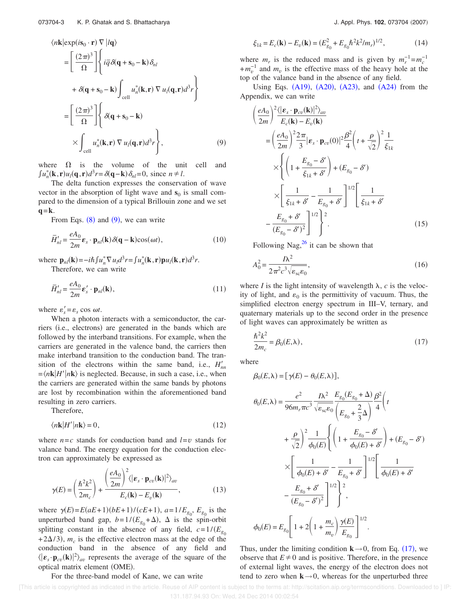$$
\langle n\mathbf{k}|\exp(is_0\cdot\mathbf{r})\nabla|l\mathbf{q}\rangle
$$
  
\n=
$$
\left[\frac{(2\pi)^3}{\Omega}\right] \left\{ i\overline{q}\delta(\mathbf{q}+\mathbf{s}_0-\mathbf{k})\delta_{nl} + \delta(\mathbf{q}+\mathbf{s}_0-\mathbf{k})\int_{\text{cell}} u_n^*(\mathbf{k},\mathbf{r})\nabla u_l(\mathbf{q},\mathbf{r})d^3r \right\}
$$
  
\n=
$$
\left[\frac{(2\pi)^3}{\Omega}\right] \left\{ \delta(\mathbf{q}+\mathbf{s}_0-\mathbf{k})
$$
  
\n
$$
\times \int_{\text{cell}} u_n^*(\mathbf{k},\mathbf{r})\nabla u_l(\mathbf{q},\mathbf{r})d^3r \right\},
$$
 (9)

where  $\Omega$  is the volume of the unit cell and  $\int u_n^*(\mathbf{k}, \mathbf{r}) u_l(\mathbf{q}, \mathbf{r}) d^3 r = \delta(\mathbf{q} - \mathbf{k}) \delta_{nl} = 0$ , since  $n \neq l$ .

The delta function expresses the conservation of wave vector in the absorption of light wave and  $s_0$  is small compared to the dimension of a typical Brillouin zone and we set  $q = k$ .

From Eqs.  $(8)$  and  $(9)$ , we can write

$$
\bar{H}'_{nl} = \frac{eA_0}{2m} \varepsilon_s \cdot \mathbf{p}_{nl}(\mathbf{k}) \,\delta(\mathbf{q} - \mathbf{k}) \cos(\omega t),\tag{10}
$$

where  $\mathbf{p}_{nl}(\mathbf{k}) = -i\hbar \int u_n^* \nabla u_l d^3 r = \int u_n^*(\mathbf{k}, \mathbf{r}) \mathbf{p} u_l(\mathbf{k}, \mathbf{r}) d^3 r$ .

Therefore, we can write

$$
\bar{H}'_{nl} = \frac{eA_0}{2m} \varepsilon'_s \cdot \mathbf{p}_{nl}(\mathbf{k}),\tag{11}
$$

where  $\varepsilon'_{s} = \varepsilon_{s} \cos \omega t$ .

When a photon interacts with a semiconductor, the carriers (i.e., electrons) are generated in the bands which are followed by the interband transitions. For example, when the carriers are generated in the valence band, the carriers then make interband transition to the conduction band. The transition of the electrons within the same band, i.e.,  $H'_{nn}$  $=$   $\langle n\mathbf{k} | H' | n\mathbf{k} \rangle$  is neglected. Because, in such a case, i.e., when the carriers are generated within the same bands by photons are lost by recombination within the aforementioned band resulting in zero carriers.

Therefore,

$$
\langle n\mathbf{k}|H'|n\mathbf{k}\rangle = 0,\tag{12}
$$

where  $n = c$  stands for conduction band and  $l = v$  stands for valance band. The energy equation for the conduction electron can approximately be expressed as

$$
\gamma(E) = \left(\frac{\hbar^2 k^2}{2m_c}\right) + \frac{\left(\frac{eA_0}{2m}\right)^2 \langle |\varepsilon_s \cdot \mathbf{p}_{cv}(\mathbf{k})|^2 \rangle_{av}}{E_c(\mathbf{k}) - E_v(\mathbf{k})},
$$
(13)

where  $\gamma(E) = E(aE+1)(bE+1)/(cE+1)$ ,  $a=1/E_{g_0}, E_{g_0}$  is the unperturbed band gap,  $b=1/(E_{g_0}+\Delta)$ ,  $\Delta$  is the spin-orbit splitting constant in the absence of any field,  $c=1/(E<sub>g0</sub>)$  $+2\Delta/3$ ,  $m_c$  is the effective electron mass at the edge of the conduction band in the absence of any field and  $\langle |\varepsilon_s \cdot \mathbf{p}_{cv}(\mathbf{k})|^2 \rangle_{av}$  represents the average of the square of the optical matrix element (OME).

$$
\xi_{1k} = E_c(\mathbf{k}) - E_v(\mathbf{k}) = (E_{g_0}^2 + E_{g_0} \hbar^2 k^2 / m_r)^{1/2},\tag{14}
$$

where  $m_r$  is the reduced mass and is given by  $m_r^{-1} = m_c^{-1}$  $+m_v^{-1}$  and  $m_v$  is the effective mass of the heavy hole at the top of the valance band in the absence of any field.

Using Eqs.  $(A19)$ ,  $(A20)$ ,  $(A23)$ , and  $(A24)$  from the Appendix, we can write

$$
\left(\frac{eA_0}{2m}\right)^2 \frac{\langle |\boldsymbol{\varepsilon}_s \cdot \mathbf{p}_{cv}(\mathbf{k})|^2 \rangle_{av}}{E_c(\mathbf{k}) - E_v(\mathbf{k})}
$$
\n
$$
= \left(\frac{eA_0}{2m}\right)^2 \frac{2\pi}{3} |\boldsymbol{\varepsilon}_s \cdot \mathbf{p}_{cv}(0)|^2 \frac{\beta^2}{4} \left(t + \frac{\rho}{\sqrt{2}}\right)^2 \frac{1}{\xi_{1k}}
$$
\n
$$
\times \left\{ \left(1 + \frac{E_{g_0} - \delta'}{\xi_{1k} + \delta'}\right) + (E_{g_0} - \delta') \right\}
$$
\n
$$
\times \left[\frac{1}{\xi_{1k} + \delta'} - \frac{1}{E_{g_0} + \delta'}\right]^{1/2} \left[\frac{1}{\xi_{1k} + \delta'} - \frac{E_{g_0} + \delta'}{(E_{g_0} - \delta')^2} \right]^{1/2} \left.\right\}^2.
$$
\n(15)

Following Nag, $^{26}$  it can be shown that

$$
A_0^2 = \frac{I\lambda^2}{2\pi^2 c^3 \sqrt{\varepsilon_{\rm sc}\varepsilon_0}},\tag{16}
$$

where *I* is the light intensity of wavelength  $\lambda$ , *c* is the velocity of light, and  $\varepsilon_0$  is the permittivity of vacuum. Thus, the simplified electron energy spectrum in III–V, ternary, and quaternary materials up to the second order in the presence of light waves can approximately be written as

$$
\frac{\hbar^2 k^2}{2m_c} = \beta_0(E,\lambda),\tag{17}
$$

where

$$
\beta_{0}(E,\lambda) = \left[\gamma(E) - \theta_{0}(E,\lambda)\right],
$$
\n
$$
\theta_{0}(E,\lambda) = \frac{e^{2}}{96m_{r}\pi c^{3}} \frac{I\lambda^{2}}{\sqrt{\varepsilon_{sc}\varepsilon_{0}}} \frac{E_{g_{0}}(E_{g_{0}} + \Delta)}{E_{g_{0}} + \frac{2}{3}\Delta} \frac{\beta^{2}}{4} \left(t + \frac{\rho}{\sqrt{2}}\right)^{2} \frac{1}{\phi_{0}(E)} \left\{\left(1 + \frac{E_{g_{0}} - \delta'}{\phi_{0}(E) + \delta'}\right) + (E_{g_{0}} - \delta')\right\}
$$
\n
$$
\times \left[\frac{1}{\phi_{0}(E) + \delta'} - \frac{1}{E_{g_{0}} + \delta'}\right]^{1/2} \left[\frac{1}{\phi_{0}(E) + \delta'} - \frac{E_{g_{0}} + \delta'}{(E_{g_{0}} - \delta')^{2}}\right]^{1/2} \left.\frac{2}{\phi_{0}(E) + \delta'}\right]
$$
\n
$$
\phi_{0}(E) = E_{g_{0}} \left[1 + 2\left(1 + \frac{m_{c}}{m_{v}}\right) \frac{\gamma(E)}{E_{g_{0}}}\right]^{1/2}.
$$

Thus, under the limiting condition  $k \rightarrow 0$ , from Eq. (17), we observe that  $E \neq 0$  and is positive. Therefore, in the presence of external light waves, the energy of the electron does not tend to zero when  $\mathbf{k} \rightarrow 0$ , whereas for the unperturbed three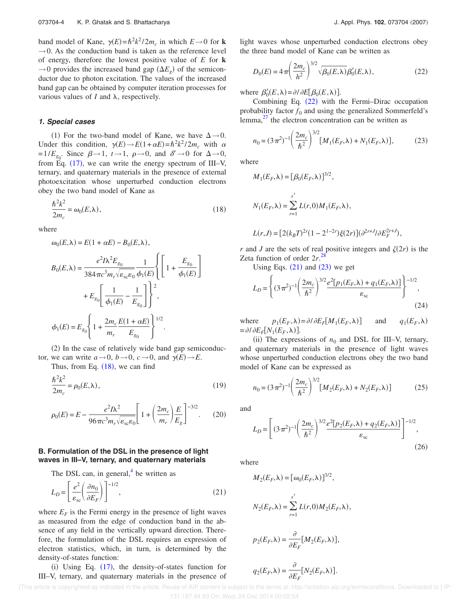band model of Kane,  $\gamma(E) = \hbar^2 k^2 / 2m_c$  in which  $E \rightarrow 0$  for **k**  $\rightarrow$  0. As the conduction band is taken as the reference level of energy, therefore the lowest positive value of *E* for **k**  $\rightarrow$  0 provides the increased band gap  $(\Delta E_g)$  of the semiconductor due to photon excitation. The values of the increased band gap can be obtained by computer iteration processes for various values of  $I$  and  $\lambda$ , respectively.

#### **1. Special cases**

(1) For the two-band model of Kane, we have  $\Delta \rightarrow 0$ . Under this condition,  $\gamma(E) \rightarrow E(1 + \alpha E) = \hbar^2 k^2 / 2m_c$  with  $\alpha$  $=1/E_{g_0}$ . Since  $\beta \rightarrow 1$ ,  $t \rightarrow 1$ ,  $\rho \rightarrow 0$ , and  $\delta' \rightarrow 0$  for  $\Delta \rightarrow 0$ , from Eq.  $(17)$ , we can write the energy spectrum of III–V, ternary, and quaternary materials in the presence of external photoexcitation whose unperturbed conduction electrons obey the two band model of Kane as

$$
\frac{\hbar^2 k^2}{2m_c} = \omega_0(E,\lambda),\tag{18}
$$

where

$$
\omega_0(E,\lambda) = E(1 + \alpha E) - B_0(E,\lambda),
$$
  
\n
$$
B_0(E,\lambda) = \frac{e^2 \Lambda^2 E_{g_0}}{384 \pi c^3 m_r \sqrt{\varepsilon_{sc} \varepsilon_0}} \frac{1}{\phi_1(E)} \left\{ \left[ 1 + \frac{E_{g_0}}{\phi_1(E)} \right] + E_{g_0} \left[ \frac{1}{\phi_1(E)} - \frac{1}{E_{g_0}} \right] \right\}^2,
$$
  
\n
$$
\phi_1(E) = E_{g_0} \left\{ 1 + \frac{2m_c}{m_r} \frac{E(1 + \alpha E)}{E_{g_0}} \right\}^{1/2}.
$$

 $(2)$  In the case of relatively wide band gap semiconductor, we can write  $a \rightarrow 0$ ,  $b \rightarrow 0$ ,  $c \rightarrow 0$ , and  $\gamma(E) \rightarrow E$ .

Thus, from Eq.  $(18)$ , we can find

$$
\frac{\hbar^2 k^2}{2m_c} = \rho_0(E,\lambda),\tag{19}
$$

$$
\rho_0(E) = E - \frac{e^2 I \lambda^2}{96 \pi c^3 m_r \sqrt{\varepsilon_{\rm sc} \varepsilon_0}} \left[ 1 + \left( \frac{2m_c}{m_r} \right) \frac{E}{E_g} \right]^{-3/2} . \tag{20}
$$

#### **B. Formulation of the DSL in the presence of light waves in III–V, ternary, and quaternary materials**

The DSL can, in general, $<sup>4</sup>$  be written as</sup>

$$
L_D = \left[\frac{e^2}{\varepsilon_{\rm sc}} \left(\frac{\partial n_0}{\partial E_F}\right)\right]^{-1/2},\tag{21}
$$

where  $E_F$  is the Fermi energy in the presence of light waves as measured from the edge of conduction band in the absence of any field in the vertically upward direction. Therefore, the formulation of the DSL requires an expression of electron statistics, which, in turn, is determined by the density-of-states function:

 $(i)$  Using Eq.  $(17)$ , the density-of-states function for III–V, ternary, and quaternary materials in the presence of light waves whose unperturbed conduction electrons obey the three band model of Kane can be written as

$$
D_0(E) = 4\pi \left(\frac{2m_c}{h^2}\right)^{3/2} \sqrt{\beta_0(E,\lambda)} \beta_0'(E,\lambda),\tag{22}
$$

where  $\beta'_0(E,\lambda) = \partial/\partial E[\beta_0(E,\lambda)].$ 

Combining Eq. (22) with the Fermi–Dirac occupation probability factor  $f_0$  and using the generalized Sommerfeld's lemma, $^{27}$  the electron concentration can be written as

$$
n_0 = (3\pi^2)^{-1} \left(\frac{2m_c}{\hbar^2}\right)^{3/2} [M_1(E_F,\lambda) + N_1(E_F,\lambda)],\tag{23}
$$

where

$$
M_1(E_F, \lambda) = [\beta_0(E_F, \lambda)]^{3/2},
$$
  
\n
$$
N_1(E_F, \lambda) = \sum_{r=1}^{s'} L(r, 0) M_1(E_F, \lambda),
$$
  
\n
$$
L(r, J) = [2(k_B T)^{2r}(1 - 2^{1-2r})\xi(2r)](\partial^{2r+J}/\partial E_F^{2r+J}),
$$

*r* and *J* are the sets of real positive integers and  $\zeta(2r)$  is the Zeta function of order 2*r*. 28

Using Eqs.  $(21)$  and  $(23)$  we get

$$
L_D = \left\{ (3\pi^2)^{-1} \left( \frac{2m_c}{\hbar^2} \right)^{3/2} \frac{e^2 [p_1(E_F, \lambda) + q_1(E_F, \lambda)]}{\varepsilon_{\rm sc}} \right\}^{-1/2},\tag{24}
$$

where  $(E_F, \lambda) = \partial/\partial E_F[M_1(E_F, \lambda)]$  and *q*<sup>1</sup>  $q_1(E_F,\lambda)$  $=$  $\partial/\partial E_F[N_1(E_F,\lambda)].$ 

(ii) The expressions of  $n_0$  and DSL for III–V, ternary, and quaternary materials in the presence of light waves whose unperturbed conduction electrons obey the two band model of Kane can be expressed as

$$
n_0 = (3\pi^2)^{-1} \left(\frac{2m_c}{\hbar^2}\right)^{3/2} \left[M_2(E_F,\lambda) + N_2(E_F,\lambda)\right]
$$
 (25)

and

$$
L_D = \left[ (3\pi^2)^{-1} \left( \frac{2m_c}{\hbar^2} \right)^{3/2} \frac{e^2 [p_2(E_F, \lambda) + q_2(E_F, \lambda)]}{\varepsilon_{\rm sc}} \right]^{-1/2},
$$
\n(26)

where

$$
M_2(E_F, \lambda) = [\omega_0(E_F, \lambda)]^{3/2},
$$
  

$$
N_2(E_F, \lambda) = \sum_{r=1}^{s'} L(r, 0) M_2(E_F, \lambda),
$$
  

$$
p_2(E_F, \lambda) = \frac{\partial}{\partial E_F} [M_2(E_F, \lambda)],
$$

$$
q_2(E_F,\lambda) = \frac{\partial}{\partial E_F} [N_2(E_F,\lambda)].
$$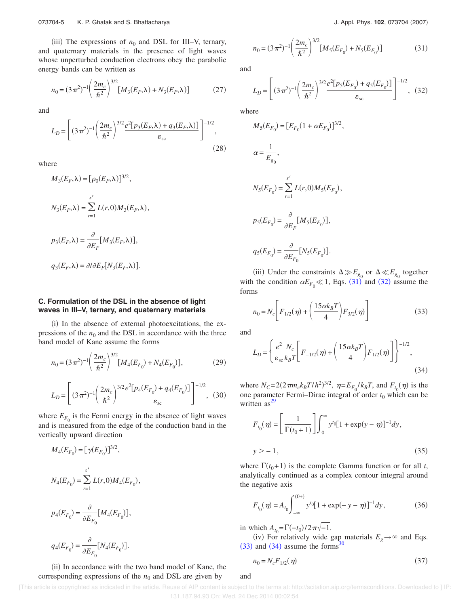073704-5 K. P. Ghatak and S. Bhattacharya

(iii) The expressions of  $n_0$  and DSL for III–V, ternary, and quaternary materials in the presence of light waves whose unperturbed conduction electrons obey the parabolic energy bands can be written as

$$
n_0 = (3\pi^2)^{-1} \left(\frac{2m_c}{\hbar^2}\right)^{3/2} [M_3(E_F, \lambda) + N_3(E_F, \lambda)]
$$
 (27)

and

$$
L_D = \left[ (3\pi^2)^{-1} \left( \frac{2m_c}{\hbar^2} \right)^{3/2} \frac{e^2 [p_3(E_F, \lambda) + q_3(E_F, \lambda)]}{\varepsilon_{\rm sc}} \right]^{-1/2},
$$
\n(28)

where

$$
M_3(E_F, \lambda) = [\rho_0(E_F, \lambda)]^{3/2},
$$
  
\n
$$
N_3(E_F, \lambda) = \sum_{r=1}^{s'} L(r, 0) M_3(E_F, \lambda),
$$
  
\n
$$
p_3(E_F, \lambda) = \frac{\partial}{\partial E_F} [M_3(E_F, \lambda)],
$$
  
\n
$$
q_3(E_F, \lambda) = \partial/\partial E_F [N_3(E_F, \lambda)].
$$

#### **C. Formulation of the DSL in the absence of light waves in III–V, ternary, and quaternary materials**

(i) In the absence of external photoexcitations, the expressions of the  $n_0$  and the DSL in accordance with the three band model of Kane assume the forms

$$
n_0 = (3\pi^2)^{-1} \left(\frac{2m_c}{\hbar^2}\right)^{3/2} [M_4(E_{F_0}) + N_4(E_{F_0})],
$$
 (29)

$$
L_D = \left[ (3\pi^2)^{-1} \left( \frac{2m_c}{\hbar^2} \right)^{3/2} \frac{e^2 [p_4(E_{F_0}) + q_4(E_{F_0})]}{\varepsilon_{\rm sc}} \right]^{-1/2}, \tag{30}
$$

where  $E_{F_0}$  is the Fermi energy in the absence of light waves and is measured from the edge of the conduction band in the vertically upward direction

$$
M_4(E_{F_0}) = \left[\gamma(E_{F_0})\right]^{3/2},
$$
  
\n
$$
N_4(E_{F_0}) = \sum_{r=1}^{s'} L(r,0)M_4(E_{F_0}),
$$
  
\n
$$
p_4(E_{F_0}) = \frac{\partial}{\partial E_{F_0}}[M_4(E_{F_0})],
$$
  
\n
$$
q_4(E_{F_0}) = \frac{\partial}{\partial E_{F_0}}[N_4(E_{F_0})].
$$

 $\overline{2}$   $\overline{3}$ 

(ii) In accordance with the two band model of Kane, the corresponding expressions of the  $n_0$  and DSL are given by

$$
n_0 = (3\pi^2)^{-1} \left(\frac{2m_c}{\hbar^2}\right)^{3/2} \left[M_5(E_{F_0}) + N_5(E_{F_0})\right]
$$
 (31)

and

$$
L_D = \left[ (3\pi^2)^{-1} \left( \frac{2m_c}{\hbar^2} \right)^{3/2} \frac{e^2 [p_5(E_{F_0}) + q_5(E_{F_0})]}{\varepsilon_{\rm sc}} \right]^{-1/2}, \tag{32}
$$

where

$$
M_5(E_{F_0}) = [E_{F_0}(1 + \alpha E_{F_0})]^{3/2},
$$
  
\n
$$
\alpha = \frac{1}{E_{g_0}},
$$
  
\n
$$
N_5(E_{F_0}) = \sum_{r=1}^{s'} L(r, 0) M_5(E_{F_0}),
$$
  
\n
$$
p_5(E_{F_0}) = \frac{\partial}{\partial E_F} [M_5(E_{F_0})],
$$
  
\n
$$
q_5(E_{F_0}) = \frac{\partial}{\partial E_{F_0}} [N_5(E_{F_0})].
$$

(iii) Under the constraints  $\Delta \gg E_{g_0}$  or  $\Delta \ll E_{g_0}$  together with the condition  $\alpha E_{F_0} \ll 1$ , Eqs. (31) and (32) assume the forms

$$
n_0 = N_c \left[ F_{1/2}(\eta) + \left( \frac{15 \alpha k_B T}{4} \right) F_{3/2}(\eta) \right]
$$
 (33)

and

$$
L_D = \left\{ \frac{e^2}{\varepsilon_{\rm sc}} \frac{N_c}{k_B T} \left[ F_{-1/2}(\eta) + \left( \frac{15 \alpha k_B T}{4} \right) F_{1/2}(\eta) \right] \right\}^{-1/2},\tag{34}
$$

where  $N_C = 2(2\pi m_c k_B T/h^2)^{3/2}$ ,  $\eta = E_{F_0}/k_B T$ , and  $F_{t_0}(\eta)$  is the one parameter Fermi–Dirac integral of order  $t_0$  which can be written  $as^{29}$ 

$$
F_{t_0}(\eta) = \left[\frac{1}{\Gamma(t_0 + 1)}\right] \int_0^\infty y^{t_0} [1 + \exp(y - \eta)]^{-1} dy,
$$
  

$$
y > -1,
$$
 (35)

where  $\Gamma(t_0+1)$  is the complete Gamma function or for all *t*, analytically continued as a complex contour integral around the negative axis

$$
F_{t_0}(\eta) = A_{t_0} \int_{-\infty}^{(0+)} y^{t_0} [1 + \exp(-y - \eta)]^{-1} dy,
$$
 (36)

in which  $A_{t_0} = \Gamma(-t_0)/2\pi\sqrt{-1}$ .

(iv) For relatively wide gap materials  $E_g \rightarrow \infty$  and Eqs.  $(33)$  and  $(34)$  assume the forms<sup>30</sup>

$$
n_0 = N_c F_{1/2}(\eta) \tag{37}
$$

and

 <sup>[</sup>This article is copyrighted as indicated in the article. Reuse of AIP content is subject to the terms at: http://scitation.aip.org/termsconditions. Downloaded to ] IP: 131.187.94.93 On: Wed, 24 Dec 2014 00:02:54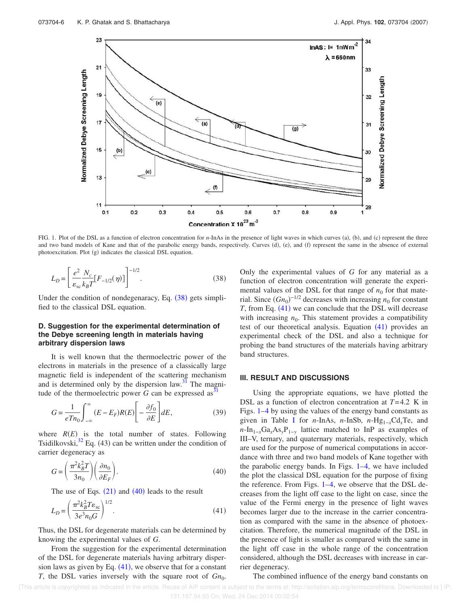

FIG. 1. Plot of the DSL as a function of electron concentration for *n*-InAs in the presence of light waves in which curves (a), (b), and (c) represent the three and two band models of Kane and that of the parabolic energy bands, respectively. Curves (d), (e), and (f) represent the same in the absence of external photoexcitation. Plot (g) indicates the classical DSL equation.

$$
L_D = \left[ \frac{e^2}{\varepsilon_{\rm sc}} \frac{N_c}{k_B T} [F_{-1/2}(\eta)] \right]^{-1/2}.
$$
 (38)

Under the condition of nondegenaracy, Eq. (38) gets simplified to the classical DSL equation.

#### **D. Suggestion for the experimental determination of the Debye screening length in materials having arbitrary dispersion laws**

It is well known that the thermoelectric power of the electrons in materials in the presence of a classically large magnetic field is independent of the scattering mechanism and is determined only by the dispersion law. $31$  The magnitude of the thermoelectric power  $G$  can be expressed as<sup>31</sup>

$$
G = \frac{1}{eT n_0} \int_{-\infty}^{\infty} (E - E_F) R(E) \left[ -\frac{\partial f_0}{\partial E} \right] dE, \tag{39}
$$

where  $R(E)$  is the total number of states. Following Tsidilkovski, $^{32}$  Eq. (43) can be written under the condition of carrier degeneracy as

$$
G = \left(\frac{\pi^2 k_B^2 T}{3n_0}\right) \left(\frac{\partial n_0}{\partial E_F}\right). \tag{40}
$$

The use of Eqs.  $(21)$  and  $(40)$  leads to the result

$$
L_D = \left(\frac{\pi^2 k_B^2 T \varepsilon_{\rm sc}}{3e^3 n_0 G}\right)^{1/2}.\tag{41}
$$

Thus, the DSL for degenerate materials can be determined by knowing the experimental values of *G*.

From the suggestion for the experimental determination of the DSL for degenerate materials having arbitrary dispersion laws as given by Eq.  $(41)$ , we observe that for a constant *T*, the DSL varies inversely with the square root of  $Gn_0$ .

Only the experimental values of *G* for any material as a function of electron concentration will generate the experimental values of the DSL for that range of  $n_0$  for that material. Since  $(Gn_0)^{-1/2}$  decreases with increasing  $n_0$  for constant *T*, from Eq. (41) we can conclude that the DSL will decrease with increasing  $n_0$ . This statement provides a compatibility test of our theoretical analysis. Equation  $(41)$  provides an experimental check of the DSL and also a technique for probing the band structures of the materials having arbitrary band structures.

#### **III. RESULT AND DISCUSSIONS**

Using the appropriate equations, we have plotted the DSL as a function of electron concentration at *T*= 4.2 K in Figs. 1–4 by using the values of the energy band constants as given in Table I for *n*-InAs, *n*-InSb, *n*-Hg1−*<sup>x</sup>*Cd*x*Te, and  $n-\text{In}_{1-x}\text{Ga}_x\text{As}_y\text{P}_{1-y}$  lattice matched to InP as examples of III–V, ternary, and quaternary materials, respectively, which are used for the purpose of numerical computations in accordance with three and two band models of Kane together with the parabolic energy bands. In Figs. 1–4, we have included the plot the classical DSL equation for the purpose of fixing the reference. From Figs. 1–4, we observe that the DSL decreases from the light off case to the light on case, since the value of the Fermi energy in the presence of light waves becomes larger due to the increase in the carrier concentration as compared with the same in the absence of photoexcitation. Therefore, the numerical magnitude of the DSL in the presence of light is smaller as compared with the same in the light off case in the whole range of the concentration considered, although the DSL decreases with increase in carrier degeneracy.

The combined influence of the energy band constants on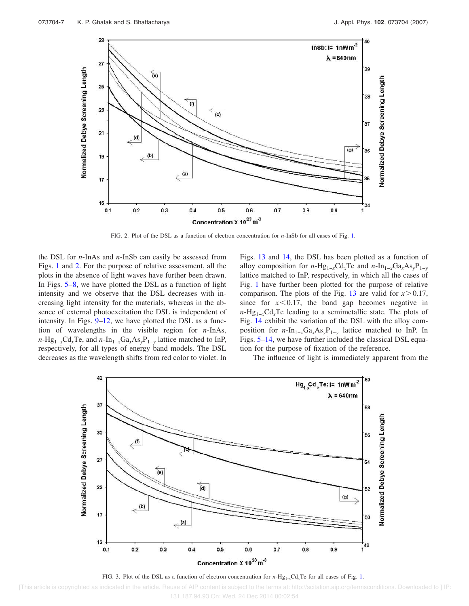

FIG. 2. Plot of the DSL as a function of electron concentration for *n*-InSb for all cases of Fig. 1.

the DSL for *n*-InAs and *n*-InSb can easily be assessed from Figs. 1 and 2. For the purpose of relative assessment, all the plots in the absence of light waves have further been drawn. In Figs. 5–8, we have plotted the DSL as a function of light intensity and we observe that the DSL decreases with increasing light intensity for the materials, whereas in the absence of external photoexcitation the DSL is independent of intensity. In Figs. 9–12, we have plotted the DSL as a function of wavelengths in the visible region for *n*-InAs, *n*-Hg1−*x*Cd*x*Te, and *n*-In1−*x*Ga*x*As*y*P1−*<sup>y</sup>* lattice matched to InP, respectively, for all types of energy band models. The DSL decreases as the wavelength shifts from red color to violet. In Figs. 13 and 14, the DSL has been plotted as a function of alloy composition for *n*-Hg<sub>1−*x*</sub>Cd<sub>*x*</sub>Te and *n*-In<sub>1−*x*</sub>Ga<sub>*x*</sub>As<sub>*y*</sub>P<sub>1-*y*</sub> lattice matched to InP, respectively, in which all the cases of Fig. 1 have further been plotted for the purpose of relative comparison. The plots of the Fig. 13 are valid for  $x > 0.17$ , since for  $x < 0.17$ , the band gap becomes negative in  $n$ -Hg<sub>1−*x*</sub>Cd<sub>*x*</sub>Te leading to a semimetallic state. The plots of Fig. 14 exhibit the variation of the DSL with the alloy composition for *n*-In<sub>1−*x*</sub>Ga<sub>*x*</sub>As<sub>*y*</sub>P<sub>1−*y*</sub> lattice matched to InP. In Figs. 5–14, we have further included the classical DSL equation for the purpose of fixation of the reference.

The influence of light is immediately apparent from the



FIG. 3. Plot of the DSL as a function of electron concentration for *n*-Hg1-*<sup>x</sup>*Cd*x*Te for all cases of Fig. 1.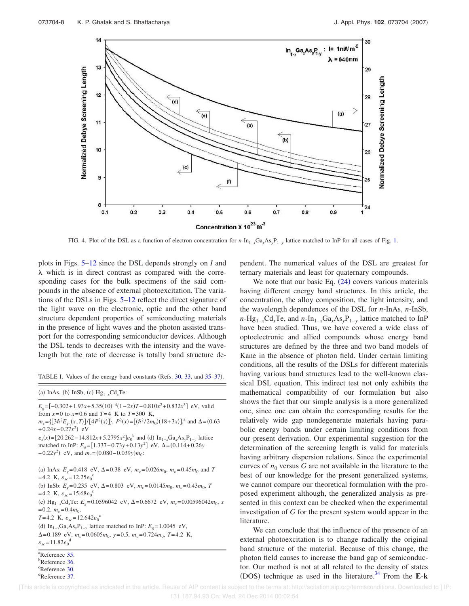

FIG. 4. Plot of the DSL as a function of electron concentration for *n*-In1−*<sup>x</sup>*Ga*x*As*y*P1−*<sup>y</sup>* lattice matched to InP for all cases of Fig. 1.

plots in Figs. 5–12 since the DSL depends strongly on *I* and  $\lambda$  which is in direct contrast as compared with the corresponding cases for the bulk specimens of the said compounds in the absence of external photoexcitation. The variations of the DSLs in Figs. 5–12 reflect the direct signature of the light wave on the electronic, optic and the other band structure dependent properties of semiconducting materials in the presence of light waves and the photon assisted transport for the corresponding semiconductor devices. Although the DSL tends to decreases with the intensity and the wavelength but the rate of decrease is totally band structure de-

TABLE I. Values of the energy band constants (Refs. 30, 33, and 35–37).

| (a) InAs, (b) InSb, (c) $Hg_{1-x}Cd_xTe$ :                                                                                                                                                                                                                                                                |
|-----------------------------------------------------------------------------------------------------------------------------------------------------------------------------------------------------------------------------------------------------------------------------------------------------------|
| $E_{\varphi}$ =[-0.302+1.93x+5.35(10) <sup>-4</sup> (1-2x)T-0.810x <sup>2</sup> +0.832x <sup>3</sup> ] eV, valid<br>from $x=0$ to $x=0.6$ and $T=4$ K to $T=300$ K,<br>$m_c = \{ [3\hbar^2 E_{g_0}(x,T)]/[4P^2(x)] \}$ , $P^2(x) = [(\hbar^2/2m_0)(18+3x)]$ , and $\Delta = (0.63$<br>$+0.24x-0.27x^2$ eV |
| $\varepsilon_s(x) = [20.262 - 14.812x + 5.2795x^2] \varepsilon_0^{b}$ and (d) $In_{1-x}Ga_xAs_yP_{1-y}$ lattice<br>matched to InP: $E_e = [1.337 - 0.73y + 0.13y^2]$ eV, $\Delta = (0.114 + 0.26y)$<br>$-0.22y^2$ eV, and $m_c = (0.080 - 0.039y)m_0$ .                                                   |
| (a) InAs: $E_p = 0.418$ eV, $\Delta = 0.38$ eV, $m_c = 0.026m_0$ , $m_v = 0.45m_0$ and T<br>$=4.2$ K, $\varepsilon_{sc} = 12.25 \varepsilon_0^{\circ}$                                                                                                                                                    |
| (b) InSb: $E_e = 0.235$ eV, $\Delta = 0.803$ eV, $m_c = 0.0145m_0$ , $m_v = 0.43m_0$ , T<br>$=4.2$ K, $\varepsilon_{sc} = 15.68 \varepsilon_0^{\circ}$                                                                                                                                                    |
| (c) Hg <sub>1-x</sub> Cd <sub>x</sub> Te: $E_e$ =0.0596042 eV, $\Delta$ =0.6672 eV, $m_c$ =0.00596042m <sub>0</sub> , x<br>$= 0.2, m_v = 0.4 m_0,$                                                                                                                                                        |
| $T=4.2$ K, $\varepsilon_{sc}=12.642\varepsilon_0^{\circ}$                                                                                                                                                                                                                                                 |
| (d) In <sub>1-x</sub> Ga <sub>x</sub> As <sub>y</sub> P <sub>1-y</sub> lattice matched to InP: $Eg$ =1.0045 eV,                                                                                                                                                                                           |
| $\Delta = 0.189$ eV, $m_c = 0.0605m_0$ , $y = 0.5$ , $m_v = 0.724m_0$ , $T = 4.2$ K,                                                                                                                                                                                                                      |
| $\varepsilon_{sc}$ =11.82 $\varepsilon_0$ <sup>d</sup>                                                                                                                                                                                                                                                    |
| <sup>a</sup> Reference 35.                                                                                                                                                                                                                                                                                |
| <sup>b</sup> Reference 36.                                                                                                                                                                                                                                                                                |
| <sup>c</sup> Reference 30.                                                                                                                                                                                                                                                                                |

<sup>d</sup>Reference 37.

pendent. The numerical values of the DSL are greatest for ternary materials and least for quaternary compounds.

We note that our basic Eq.  $(24)$  covers various materials having different energy band structures. In this article, the concentration, the alloy composition, the light intensity, and the wavelength dependences of the DSL for *n*-InAs, *n*-InSb, *n*-Hg1−*x*Cd*x*Te, and *n*-In1−*x*Ga*x*As*y*P1−*<sup>y</sup>* lattice matched to InP have been studied. Thus, we have covered a wide class of optoelectronic and allied compounds whose energy band structures are defined by the three and two band models of Kane in the absence of photon field. Under certain limiting conditions, all the results of the DSLs for different materials having various band structures lead to the well-known classical DSL equation. This indirect test not only exhibits the mathematical compatibility of our formulation but also shows the fact that our simple analysis is a more generalized one, since one can obtain the corresponding results for the relatively wide gap nondegenerate materials having parabolic energy bands under certain limiting conditions from our present derivation. Our experimental suggestion for the determination of the screening length is valid for materials having arbitrary dispersion relations. Since the experimental curves of  $n_0$  versus *G* are not available in the literature to the best of our knowledge for the present generalized systems, we cannot compare our theoretical formulation with the proposed experiment although, the generalized analysis as presented in this context can be checked when the experimental investigation of *G* for the present system would appear in the literature.

We can conclude that the influence of the presence of an external photoexcitation is to change radically the original band structure of the material. Because of this change, the photon field causes to increase the band gap of semiconductor. Our method is not at all related to the density of states (DOS) technique as used in the literature.<sup>34</sup> From the  $\mathbf{E}\text{-}\mathbf{k}$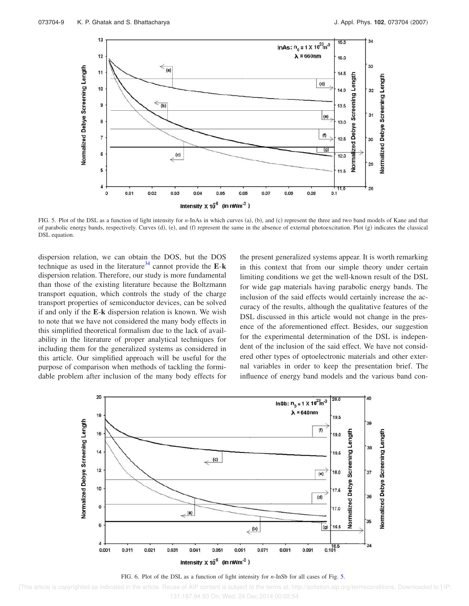

FIG. 5. Plot of the DSL as a function of light intensity for *n*-InAs in which curves (a), (b), and (c) represent the three and two band models of Kane and that of parabolic energy bands, respectively. Curves (d), (e), and (f) represent the same in the absence of external photoexcitation. Plot (g) indicates the classical DSL equation.

dispersion relation, we can obtain the DOS, but the DOS technique as used in the literature<sup>34</sup> cannot provide the  $\mathbf{E} - \mathbf{k}$ dispersion relation. Therefore, our study is more fundamental than those of the existing literature because the Boltzmann transport equation, which controls the study of the charge transport properties of semiconductor devices, can be solved if and only if the **E**-**k** dispersion relation is known. We wish to note that we have not considered the many body effects in this simplified theoretical formalism due to the lack of availability in the literature of proper analytical techniques for including them for the generalized systems as considered in this article. Our simplified approach will be useful for the purpose of comparison when methods of tackling the formidable problem after inclusion of the many body effects for the present generalized systems appear. It is worth remarking in this context that from our simple theory under certain limiting conditions we get the well-known result of the DSL for wide gap materials having parabolic energy bands. The inclusion of the said effects would certainly increase the accuracy of the results, although the qualitative features of the DSL discussed in this article would not change in the presence of the aforementioned effect. Besides, our suggestion for the experimental determination of the DSL is independent of the inclusion of the said effect. We have not considered other types of optoelectronic materials and other external variables in order to keep the presentation brief. The influence of energy band models and the various band con-



FIG. 6. Plot of the DSL as a function of light intensity for *n*-InSb for all cases of Fig. 5.

 <sup>[</sup>This article is copyrighted as indicated in the article. Reuse of AIP content is subject to the terms at: http://scitation.aip.org/termsconditions. Downloaded to ] IP: 131.187.94.93 On: Wed, 24 Dec 2014 00:02:54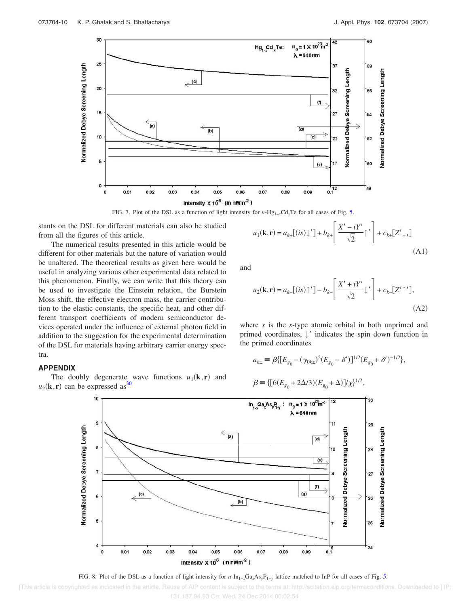

FIG. 7. Plot of the DSL as a function of light intensity for *n*-Hg1−*<sup>x</sup>*Cd*x*Te for all cases of Fig. 5.

stants on the DSL for different materials can also be studied from all the figures of this article.

The numerical results presented in this article would be different for other materials but the nature of variation would be unaltered. The theoretical results as given here would be useful in analyzing various other experimental data related to this phenomenon. Finally, we can write that this theory can be used to investigate the Einstein relation, the Burstein Moss shift, the effective electron mass, the carrier contribution to the elastic constants, the specific heat, and other different transport coefficients of modern semiconductor devices operated under the influence of external photon field in addition to the suggestion for the experimental determination of the DSL for materials having arbitrary carrier energy spectra.

#### **APPENDIX**

The doubly degenerate wave functions  $u_1(\mathbf{k}, \mathbf{r})$  and  $u_2(\mathbf{k}, \mathbf{r})$  can be expressed as<sup>30</sup>

$$
u_1(\mathbf{k}, \mathbf{r}) = a_{k+}[(is)\downarrow'] + b_{k+} \left[ \frac{X' - iY'}{\sqrt{2}}\uparrow' \right] + c_{k+} [Z'\downarrow, ]
$$
\n(A1)

and

$$
u_2(\mathbf{k}, \mathbf{r}) = a_k \left[ (is) \uparrow' \right] - b_k \left[ \frac{X' + iY'}{\sqrt{2}} \downarrow' \right] + c_k \left[ Z' \uparrow' \right],
$$
\n(A2)

where *s* is the *s*-type atomic orbital in both unprimed and primed coordinates,  $\downarrow'$  indicates the spin down function in the primed coordinates

$$
a_{k\pm} \equiv \beta \{ [E_{g_0} - (\gamma_{0k\pm})^2 (E_{g_0} - \delta')]^{1/2} (E_{g_0} + \delta')^{-1/2} \},
$$

$$
\beta = \{ [6(E_{g_0} + 2\Delta/3)(E_{g_0} + \Delta)]/\chi \}^{1/2},
$$



FIG. 8. Plot of the DSL as a function of light intensity for *n*-In1−*<sup>x</sup>*Ga*x*As*y*P1−*<sup>y</sup>* lattice matched to InP for all cases of Fig. 5.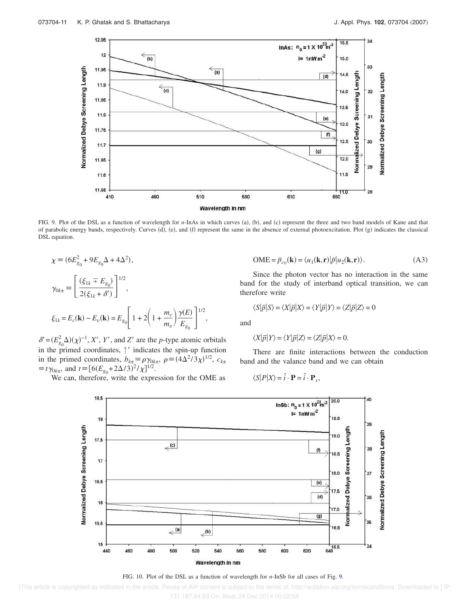

FIG. 9. Plot of the DSL as a function of wavelength for *n*-InAs in which curves (a), (b), and (c) represent the three and two band models of Kane and that of parabolic energy bands, respectively. Curves (d), (e), and (f) represent the same in the absence of external photoexcitation. Plot (g) indicates the classical DSL equation.

$$
\chi = (6E_{g_0}^2 + 9E_{g_0}\Delta + 4\Delta^2),
$$
  
\n
$$
\gamma_{0k\pm} = \left[\frac{(\xi_{1k} \mp E_{g_0})}{2(\xi_{1k} + \delta')}\right]^{1/2},
$$
  
\n
$$
\xi_{1k} = E_c(\mathbf{k}) - E_v(\mathbf{k}) = E_{g_0} \left[1 + 2\left(1 + \frac{m_c}{m_v}\right)\frac{\gamma(E)}{E_{g_0}}\right]^{1/2},
$$

 $\delta' = (E_{g_0}^2 \Delta)(\chi)^{-1}$ , *X'*, *Y'*, and *Z'* are the *p*-type atomic orbitals in the primed coordinates,  $\uparrow$  indicates the spin-up function in the primed coordinates,  $b_{k\pm} \equiv \rho \gamma_{0k\pm}$ ,  $\rho \equiv (4\Delta^2/3\chi)^{1/2}$ ,  $c_{k\pm}$  $\equiv t\gamma_{0k\pm}$ , and  $t \equiv [6(E_{g_0} + 2\Delta/3)^2/\chi]^{1/2}$ .

We can, therefore, write the expression for the OME as

$$
\text{OME} = \overline{p}_{cv}(\mathbf{k}) = \langle u_1(\mathbf{k}, \mathbf{r}) | \overline{p} | u_2(\mathbf{k}, \mathbf{r}) \rangle. \tag{A3}
$$

Since the photon vector has no interaction in the same band for the study of interband optical transition, we can therefore write

$$
\langle S|\overline{p}|S\rangle = \langle X|\overline{p}|X\rangle = \langle Y|\overline{p}|Y\rangle = \langle Z|\overline{p}|Z\rangle = 0
$$

and

$$
\langle X|\overline{p}|Y\rangle = \langle Y|\overline{p}|Z\rangle = \langle Z|\overline{p}|X\rangle = 0.
$$

There are finite interactions between the conduction band and the valance band and we can obtain

,

$$
\langle S|P|X\rangle = \hat{i} \cdot \mathbf{P} = \hat{i} \cdot \mathbf{P}_x
$$



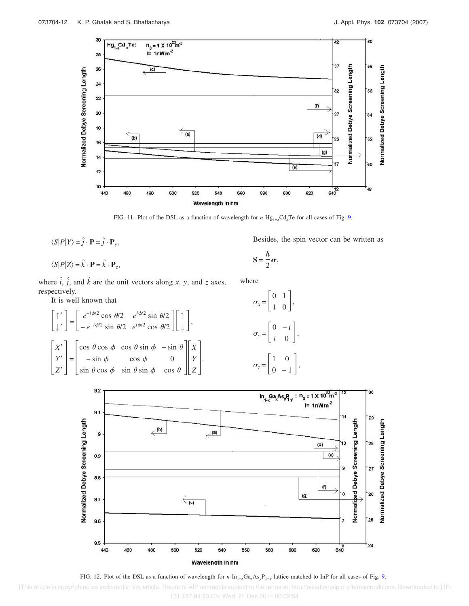

FIG. 11. Plot of the DSL as a function of wavelength for *n*-Hg1−*<sup>x</sup>*Cd*x*Te for all cases of Fig. 9.

$$
\langle S|P|Y\rangle = \hat{j} \cdot \mathbf{P} = \hat{j} \cdot \mathbf{P}_y,
$$

 $\langle S|P|Z\rangle = \hat{k} \cdot \mathbf{P} = \hat{k} \cdot \mathbf{P}_z$ ,

where  $\hat{i}$ ,  $\hat{j}$ , and  $\hat{k}$  are the unit vectors along *x*, *y*, and *z* axes, respectively.

It is well known that

$$
\begin{bmatrix} \uparrow' \\ \downarrow' \end{bmatrix} = \begin{bmatrix} e^{-i\phi/2} \cos \theta/2 & e^{i\phi/2} \sin \theta/2 \\ -e^{-i\phi/2} \sin \theta/2 & e^{i\phi/2} \cos \theta/2 \end{bmatrix} \begin{bmatrix} \uparrow \\ \downarrow \end{bmatrix},
$$

$$
\begin{bmatrix} X' \\ Y' \\ Z' \end{bmatrix} = \begin{bmatrix} \cos \theta \cos \phi & \cos \theta \sin \phi & -\sin \theta \\ -\sin \phi & \cos \phi & 0 \\ \sin \theta \cos \phi & \sin \theta \sin \phi & \cos \theta \end{bmatrix} \begin{bmatrix} X \\ Y \\ Z \end{bmatrix}.
$$

Besides, the spin vector can be written as  $S = \frac{\hbar}{2}$  $\frac{1}{2}$  $\sigma$ ,

where

$$
\sigma_x = \begin{bmatrix} 0 & 1 \\ 1 & 0 \end{bmatrix},
$$

$$
\sigma_y = \begin{bmatrix} 0 & -i \\ i & 0 \end{bmatrix},
$$

$$
\sigma_z = \begin{bmatrix} 1 & 0 \\ 0 & -1 \end{bmatrix},
$$



FIG. 12. Plot of the DSL as a function of wavelength for *n*-In1−*<sup>x</sup>*Ga*x*As*y*P1−*<sup>y</sup>* lattice matched to InP for all cases of Fig. 9.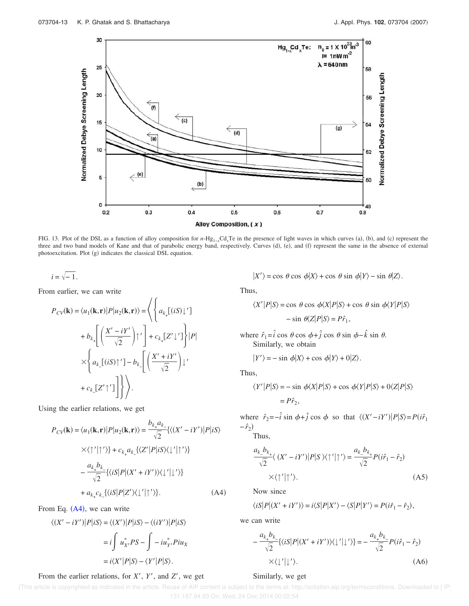

FIG. 13. Plot of the DSL as a function of alloy composition for  $n-Hg_{1-x}Cd_xTe$  in the presence of light waves in which curves (a), (b), and (c) represent the three and two band models of Kane and that of parabolic energy band, respectively. Curves (d), (e), and (f) represent the same in the absence of external photoexcitation. Plot (g) indicates the classical DSL equation.

$$
i=\sqrt{-\,1}\,.
$$

From earlier, we can write

$$
P_{CV}(\mathbf{k}) = \langle u_1(\mathbf{k}, \mathbf{r}) | P | u_2(\mathbf{k}, \mathbf{r}) \rangle = \left\langle \left\{ a_{k_+}[(iS) \downarrow'] \right\} + b_{k_+} \left[ \left( \frac{X' - iY'}{\sqrt{2}} \right) \uparrow' \right] + c_{k_+} [Z' \downarrow'] \right\} | P |
$$
  
\$\times \left\{ a\_k [ (iS) \uparrow'] - b\_k \left[ \left( \frac{X' + iY'}{\sqrt{2}} \right) \downarrow' \right] + c\_k [Z' \uparrow'] \right] \right\} }.

Using the earlier relations, we get

$$
P_{CV}(\mathbf{k}) = \langle u_1(\mathbf{k}, \mathbf{r}) | P | u_2(\mathbf{k}, \mathbf{r}) \rangle = \frac{b_{k_+} a_{k_-}}{\sqrt{2}} \{ \langle (X' - iY') | P | iS \rangle \times \langle \uparrow' | \uparrow' \rangle \} + c_{k_+} a_{k_-} \{ \langle Z' | P | iS \rangle \langle \downarrow' | \uparrow' \rangle \}
$$

$$
- \frac{a_{k_+} b_{k_-}}{\sqrt{2}} \{ \langle iS | P | (X' + iY') \rangle \langle \downarrow' | \downarrow' \rangle \}
$$

$$
+ a_{k_+} c_{k_-} \{ \langle iS | P | Z' \rangle \langle \downarrow' | \uparrow' \rangle \}. \tag{A4}
$$

From Eq. (A4), we can write

$$
\langle (X' - iY')|P|iS\rangle = \langle (X')|P|iS\rangle - \langle (iY')|P|iS\rangle
$$

$$
= i \int u_{X'}^* PS - \int - i u_{Y'}^* P i u_X
$$

$$
= i \langle X'|P|S\rangle - \langle Y'|P|S\rangle.
$$

#### From the earlier relations, for *X*, *Y*, and *Z*, we get

 $|X'\rangle = \cos \theta \cos \phi |X\rangle + \cos \theta \sin \phi |Y\rangle - \sin \theta |Z\rangle.$ 

Thus,

 $\langle X' | P | S \rangle = \cos \theta \cos \phi \langle X | P | S \rangle + \cos \theta \sin \phi \langle Y | P | S \rangle$  $-\sin \theta \langle Z|P|S\rangle = P\hat{r}_1,$ 

where  $\hat{r}_1 = \hat{i} \cos \theta \cos \phi + \hat{j} \cos \theta \sin \phi - \hat{k} \sin \theta$ . Similarly, we obtain

$$
|Y'\rangle = -\sin \phi |X\rangle + \cos \phi |Y\rangle + 0|Z\rangle.
$$

Thus,

$$
\langle Y'|P|S\rangle = -\sin \phi \langle X|P|S\rangle + \cos \phi \langle Y|P|S\rangle + 0 \langle Z|P|S\rangle
$$
  
=  $P\hat{r}_2$ ,

where  $\hat{r}_2 = -\hat{i} \sin \phi + \hat{j} \cos \phi$  so that  $\langle (X'-iY')|P|S \rangle = P(i\hat{r}_1)$  $-\hat{r}_2$ )

Thus,

$$
\frac{a_{k_-}b_{k_+}}{\sqrt{2}}\langle (X'-iY')|P|S\rangle\langle\uparrow'|{\uparrow'}\rangle = \frac{a_{k_-}b_{k_+}}{\sqrt{2}}P(i\hat{r}_1-\hat{r}_2)
$$
  
× $\langle{\uparrow'}|{\uparrow'}\rangle$ . (A5)

Now since

$$
\langle iS|P|(X'+iY')\rangle=i\langle S|P|X'\rangle-\langle S|P|Y'\rangle=P(i\hat{r}_1-\hat{r}_2),
$$

we can write

$$
-\frac{a_{k_+}b_{k_-}}{\sqrt{2}}\{\langle iS|P|(X'+iY')\rangle\langle\downarrow'\vert\downarrow'\rangle\} = -\frac{a_{k_+}b_{k_-}}{\sqrt{2}}P(i\hat{r}_1 - \hat{r}_2)
$$
  
 
$$
\times\langle\downarrow'\vert\downarrow'\rangle.
$$
 (A6)

#### Similarly, we get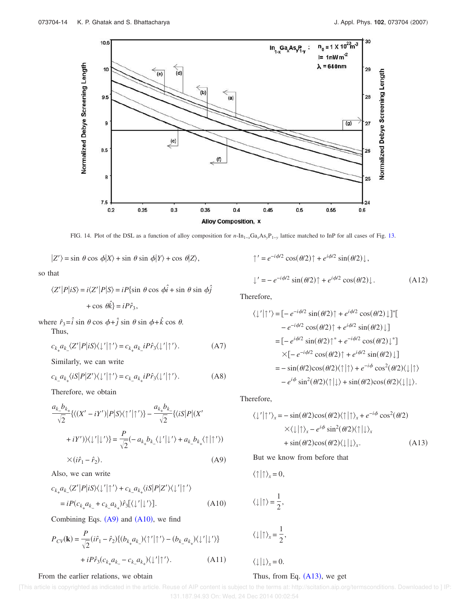

FIG. 14. Plot of the DSL as a function of alloy composition for *n*-In1−*<sup>x</sup>*Ga*x*As*y*P1−*<sup>y</sup>* lattice matched to InP for all cases of Fig. 13.

$$
|Z'\rangle = \sin \theta \cos \phi |X\rangle + \sin \theta \sin \phi |Y\rangle + \cos \theta |Z\rangle,
$$

so that

$$
\langle Z'|P|iS\rangle = i\langle Z'|P|S\rangle = iP\{\sin \theta \cos \phi \hat{i} + \sin \theta \sin \phi \hat{j} + \cos \theta \hat{k}\} = iP\hat{r}_3,
$$

where  $\hat{r}_3 = \hat{i} \sin \theta \cos \phi + \hat{j} \sin \theta \sin \phi + \hat{k} \cos \theta$ .

Thus,

$$
c_{k_{+}}a_{k_{-}}\langle Z'|P|iS\rangle\langle\downarrow'|{\uparrow}\prime\rangle = c_{k_{+}}a_{k_{-}}iP\hat{r}_{3}\langle\downarrow'|{\uparrow}\prime\rangle. \tag{A7}
$$

Similarly, we can write

$$
c_{k\_}a_{k_{+}}\langle iS|P|Z'\rangle\langle\downarrow'\uparrow'\rangle = c_{k\_}a_{k_{+}}iP\hat{r}_{3}\langle\downarrow'\uparrow'\rangle.
$$
 (A8)

Therefore, we obtain

$$
\frac{a_k b_{k_+}}{\sqrt{2}} \{ \langle (X' - iY') | P | S \rangle \langle \uparrow' | \uparrow' \rangle \} - \frac{a_{k_+} b_{k_-}}{\sqrt{2}} \{ \langle iS | P | (X' + iY') \rangle \langle \downarrow' | \downarrow' \rangle \} = \frac{P}{\sqrt{2}} (-a_{k_+} b_{k_-} \langle \downarrow' | \downarrow' \rangle + a_{k_-} b_{k_+} \langle \uparrow | \uparrow' \rangle )
$$
  
 
$$
\times (i\hat{r}_1 - \hat{r}_2).
$$
 (A9)

Also, we can write

$$
c_{k_{+}}a_{k_{-}}\langle Z'|P|iS\rangle\langle\downarrow'|{\uparrow}\prime\rangle + c_{k_{-}}a_{k_{+}}\langle iS|P|Z'\rangle\langle\downarrow'|{\uparrow}\prime\rangle
$$
  
=  $iP(c_{k_{+}}a_{k_{-}}+c_{k_{-}}a_{k_{+}})\hat{r}_{3}[\langle\downarrow'\vert\downarrow'\rangle].$  (A10)

Combining Eqs.  $(A9)$  and  $(A10)$ , we find

From the earlier relations, we obtain

$$
P_{CV}(\mathbf{k}) = \frac{P}{\sqrt{2}} (i\hat{r}_1 - \hat{r}_2) \{ (b_{k_+} a_{k_-}) \langle \uparrow' | \uparrow' \rangle - (b_{k_-} a_{k_+}) \langle \downarrow' | \downarrow' \rangle \} + i P \hat{r}_3 (c_{k_+} a_{k_-} - c_{k_-} a_{k_+}) \langle \downarrow' | \uparrow' \rangle.
$$
 (A11)

## $\uparrow' = e^{-i\phi/2} \cos(\theta/2) \uparrow + e^{i\phi/2} \sin(\theta/2) \downarrow$ ,  $\downarrow' = -e^{-i\phi/2}\sin(\theta/2)\uparrow + e^{i\phi/2}\cos(\theta/2)$  $(A12)$

Therefore,

$$
\langle \downarrow' | \uparrow' \rangle = [-e^{-i\phi/2} \sin(\theta/2) \uparrow + e^{i\phi/2} \cos(\theta/2) \downarrow]^* [
$$
  
\n
$$
- e^{-i\phi/2} \cos(\theta/2) \uparrow + e^{i\phi/2} \sin(\theta/2) \downarrow ]
$$
  
\n
$$
= [-e^{i\phi/2} \sin(\theta/2) \uparrow^* + e^{-i\phi/2} \cos(\theta/2) \downarrow^* ]
$$
  
\n
$$
\times [-e^{-i\phi/2} \cos(\theta/2) \uparrow + e^{i\phi/2} \sin(\theta/2) \downarrow ]
$$
  
\n
$$
= -\sin(\theta/2) \cos(\theta/2) \langle \uparrow | \uparrow \rangle + e^{-i\phi} \cos^2(\theta/2) \langle \downarrow | \uparrow \rangle
$$
  
\n
$$
- e^{i\phi} \sin^2(\theta/2) \langle \uparrow | \downarrow \rangle + \sin(\theta/2) \cos(\theta/2) \langle \downarrow | \downarrow \rangle.
$$

Therefore,

$$
\langle \downarrow' | \uparrow' \rangle_x = -\sin(\theta/2)\cos(\theta/2)\langle \uparrow | \uparrow \rangle_x + e^{-i\phi}\cos^2(\theta/2)
$$
  
 
$$
\times \langle \downarrow | \uparrow \rangle_x - e^{i\phi}\sin^2(\theta/2)\langle \uparrow | \downarrow \rangle_x
$$
  
+ 
$$
\sin(\theta/2)\cos(\theta/2)\langle \downarrow | \downarrow \rangle_x.
$$
 (A13)

But we know from before that

$$
\langle \uparrow | \uparrow \rangle_x = 0,
$$

$$
\langle \downarrow | \uparrow \rangle = \frac{1}{2},
$$

 $\langle \downarrow | \uparrow \rangle_x = \frac{1}{2}$  $\frac{1}{2}$ 

# $\langle \downarrow | \downarrow \rangle_x = 0.$

#### Thus, from Eq.  $(A13)$ , we get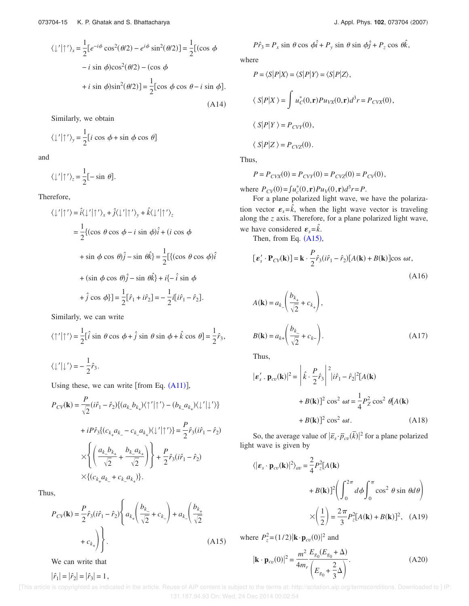$$
\langle \downarrow' | \uparrow' \rangle_x = \frac{1}{2} [e^{-i\phi} \cos^2(\theta/2) - e^{i\phi} \sin^2(\theta/2)] = \frac{1}{2} [(\cos \phi - i \sin \phi) \cos^2(\theta/2) - (\cos \phi - i \sin \phi) \sin^2(\theta/2)] = \frac{1}{2} [\cos \phi \cos \theta - i \sin \phi].
$$
\n(A14)

Similarly, we obtain

$$
\langle \downarrow' | \uparrow' \rangle_y = \frac{1}{2} [i \cos \phi + \sin \phi \cos \theta]
$$

and

$$
\langle \downarrow' | \uparrow' \rangle_z = \frac{1}{2} [-\sin \theta].
$$

Therefore,

$$
\langle \downarrow' | \uparrow' \rangle = \hat{i} \langle \downarrow' | \uparrow' \rangle_x + \hat{j} \langle \downarrow' | \uparrow' \rangle_y + \hat{k} \langle \downarrow' | \uparrow' \rangle_z
$$
  
\n
$$
= \frac{1}{2} \{ (\cos \theta \cos \phi - i \sin \phi) \hat{i} + (i \cos \phi + i \sin \phi) \cos \phi \hat{j} - \sin \theta \hat{k} \} = \frac{1}{2} [\{ (\cos \theta \cos \phi) \hat{i} + (\sin \phi \cos \theta) \hat{j} - \sin \theta \hat{k} \} + i \{ - \hat{i} \sin \phi + i \} \cos \phi \hat{k} ] = \frac{1}{2} [\hat{r}_1 + i \hat{r}_2] = -\frac{1}{2} i [\hat{i} \hat{r}_1 - \hat{r}_2].
$$

Similarly, we can write

$$
\langle \uparrow' | \uparrow' \rangle = \frac{1}{2} [\hat{i} \sin \theta \cos \phi + \hat{j} \sin \theta \sin \phi + \hat{k} \cos \theta] = \frac{1}{2} \hat{r}_3,
$$

 $\langle \downarrow' | \downarrow' \rangle = -\frac{1}{2}$  $\frac{1}{2}\hat{r}_3$ .

Using these, we can write [from Eq.  $(A11)$ ],

$$
P_{CV}(\mathbf{k}) = \frac{P}{\sqrt{2}} (i\hat{r}_1 - \hat{r}_2) \{ (a_{k_-}b_{k_+}) \langle \uparrow' | \uparrow' \rangle - (b_{k_-}a_{k_+}) \langle \downarrow' | \downarrow' \rangle \}
$$
  
+  $i P \hat{r}_3 \{ (c_{k_+}a_{k_-} - c_{k_-}a_{k_+}) \langle \downarrow' | \uparrow' \rangle \} = \frac{P}{2} \hat{r}_3 (i\hat{r}_1 - \hat{r}_2)$   

$$
\times \left\{ \left( \frac{a_{k_-}b_{k_+}}{\sqrt{2}} + \frac{b_{k_-}a_{k_+}}{\sqrt{2}} \right) \right\} + \frac{P}{2} \hat{r}_3 (i\hat{r}_1 - \hat{r}_2)
$$
  

$$
\times \{ (c_{k_+}a_{k_-} + c_{k_-}a_{k_+}) \}.
$$

Thus,

$$
P_{CV}(\mathbf{k}) = \frac{P}{2} \hat{r}_3 (i\hat{r}_1 - \hat{r}_2) \left\{ a_{k_+} \left( \frac{b_{k_-}}{\sqrt{2}} + c_{k_-} \right) + a_{k_-} \left( \frac{b_{k_+}}{\sqrt{2}} + c_{k_+} \right) \right\}.
$$
\n(A15)

We can write that

$$
|\hat{r}_1| = |\hat{r}_2| = |\hat{r}_3| = 1,
$$

$$
P\hat{r}_3 = P_x \sin \theta \cos \phi \hat{i} + P_y \sin \theta \sin \phi \hat{j} + P_z \cos \theta \hat{k},
$$

where

$$
P = \langle S|P|X \rangle = \langle S|P|Y \rangle = \langle S|P|Z \rangle,
$$
  
\n
$$
\langle S|P|X \rangle = \int u_C^*(0, \mathbf{r}) P u_{VX}(0, \mathbf{r}) d^3 r = P_{CVX}(0),
$$
  
\n
$$
\langle S|P|Y \rangle = P_{CVY}(0),
$$
  
\n
$$
\langle S|P|Z \rangle = P_{CVZ}(0).
$$

Thus,

$$
P = P_{CVX}(0) = P_{CVY}(0) = P_{CVZ}(0) = P_{CV}(0),
$$

where  $P_{CV}(0) = \int u_c^*(0, \mathbf{r}) P u_v(0, \mathbf{r}) d^3 r = P$ .

For a plane polarized light wave, we have the polarization vector  $\varepsilon_s = \hat{k}$ , when the light wave vector is traveling along the *z* axis. Therefore, for a plane polarized light wave, we have considered  $\epsilon_s = \hat{k}$ .

Then, from Eq.  $(A15)$ ,

$$
[\boldsymbol{\varepsilon}'_s \cdot \mathbf{P}_{CV}(\mathbf{k})] = \mathbf{k} \cdot \frac{P}{2} \hat{r}_3 (i\hat{r}_1 - \hat{r}_2) [A(\mathbf{k}) + B(\mathbf{k})] \cos \omega t,
$$
\n(A16)

$$
A(\mathbf{k}) = a_k \left( \frac{b_{k_+}}{\sqrt{2}} + c_{k_+} \right),
$$
  

$$
B(\mathbf{k}) = a_{k+} \left( \frac{b_{k_-}}{\sqrt{2}} + c_{k_-} \right).
$$
 (A17)

Thus,

$$
|\boldsymbol{\varepsilon}'_s \cdot \mathbf{p}_{cv}(\mathbf{k})|^2 = \left| \hat{k} \cdot \frac{P}{2} \hat{r}_3 \right|^2 |i\hat{r}_1 - \hat{r}_2|^2 [A(\mathbf{k})
$$
  
+ B(\mathbf{k})]^2 \cos^2 \omega t = \frac{1}{4} P\_Z^2 \cos^2 \theta [A(\mathbf{k})  
+ B(\mathbf{k})]^2 \cos^2 \omega t. \tag{A18}

So, the average value of  $|\bar{\varepsilon}_s \cdot \bar{p}_{cv}(\bar{k})|^2$  for a plane polarized light wave is given by

$$
\langle |\varepsilon_s \cdot \mathbf{p}_{cv}(\mathbf{k})|^2 \rangle_{av} = \frac{2}{4} P_z^2 [A(\mathbf{k})
$$
  
+ B(\mathbf{k})]^2 \Big( \int\_0^{2\pi} d\phi \int\_0^{\pi} \cos^2 \theta \sin \theta d\theta \Big)   
 
$$
\times \Big( \frac{1}{2} \Big) = \frac{2\pi}{3} P_z^2 [A(\mathbf{k}) + B(\mathbf{k})]^2, \quad (A19)
$$

where  $P_z^2 = (1/2)|\mathbf{k} \cdot \mathbf{p}_{cv}(0)|^2$  and

$$
|\mathbf{k} \cdot \mathbf{p}_{cv}(0)|^2 = \frac{m^2}{4m_r} \frac{E_{g_0}(E_{g_0} + \Delta)}{\left(E_{g_0} + \frac{2}{3}\Delta\right)}.
$$
 (A20)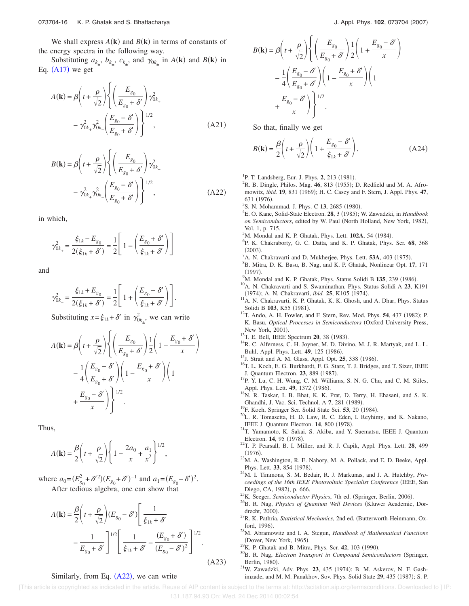We shall express  $A(\mathbf{k})$  and  $B(\mathbf{k})$  in terms of constants of the energy spectra in the following way.

Substituting  $a_{k_{\pm}}, b_{k_{\pm}}, c_{k_{\pm}}$ , and  $\gamma_{0k_{\pm}}$  in  $A(\mathbf{k})$  and  $B(\mathbf{k})$  in Eq.  $(A17)$  we get

$$
A(\mathbf{k}) = \beta \left( t + \frac{\rho}{\sqrt{2}} \right) \left\{ \left( \frac{E_{g_0}}{E_{g_0} + \delta'} \right) \gamma_{0k_+}^2 - \gamma_{0k_+}^2 \gamma_{0k_-}^2 \left( \frac{E_{g_0} - \delta'}{E_{g_0} + \delta'} \right) \right\}^{1/2},
$$
\n(A21)

$$
B(\mathbf{k}) = \beta \left( t + \frac{\rho}{\sqrt{2}} \right) \left\{ \left( \frac{E_{g_0}}{E_{g_0} + \delta'} \right) \gamma_{0k_{-}}^2 - \gamma_{0k_{+}}^2 \gamma_{0k_{-}}^2 \left( \frac{E_{g_0} - \delta'}{E_{g_0} + \delta'} \right) \right\}^{1/2},
$$
 (A22)

in which,

$$
\gamma_{0k_{+}}^{2} = \frac{\xi_{1k} - E_{g_0}}{2(\xi_{1k} + \delta')} = \frac{1}{2} \left[ 1 - \left( \frac{E_{g_0} + \delta'}{\xi_{1k} + \delta'} \right) \right]
$$

and

$$
\gamma_{0k_{-}}^{2} = \frac{\xi_{1k} + E_{g_0}}{2(\xi_{1k} + \delta')} = \frac{1}{2} \left[ 1 + \left( \frac{E_{g_0} - \delta'}{\xi_{1k} + \delta'} \right) \right].
$$

Substituting  $x = \xi_{1k} + \delta'$  in  $\gamma_{0k_{\pm}}^2$ , we can write

$$
A(\mathbf{k}) = \beta \left( t + \frac{\rho}{\sqrt{2}} \right) \left\{ \left( \frac{E_{g_0}}{E_{g_0} + \delta'} \right) \frac{1}{2} \left( 1 - \frac{E_{g_0} + \delta'}{x} \right) \right.
$$

$$
- \frac{1}{4} \left( \frac{E_{g_0} - \delta'}{E_{g_0} + \delta'} \right) \left( 1 - \frac{E_{g_0} + \delta'}{x} \right) \left( 1 + \frac{E_{g_0} - \delta'}{x} \right) \right\}^{1/2}.
$$

Thus,

$$
A(\mathbf{k}) = \frac{\beta}{2} \left( t + \frac{\rho}{\sqrt{2}} \right) \left\{ 1 - \frac{2a_0}{x} + \frac{a_1}{x^2} \right\}^{1/2},
$$

where  $a_0 = (E_{g_0}^2 + \delta^2)(E_{g_0} + \delta^2)^{-1}$  and  $a_1 = (E_{g_0} - \delta^2)^2$ . After tedious algebra, one can show that

$$
A(\mathbf{k}) = \frac{\beta}{2} \left( t + \frac{\rho}{\sqrt{2}} \right) (E_{g_0} - \delta') \left[ \frac{1}{\xi_{1k} + \delta'} - \frac{1}{E_{g_0} + \delta'} \right]^{1/2} \left[ \frac{1}{\xi_{1k} + \delta'} - \frac{(E_{g_0} + \delta')}{(E_{g_0} - \delta')^2} \right]^{1/2}.
$$

Similarly, from Eq.  $(A22)$ , we can write

$$
B(\mathbf{k}) = \beta \left( t + \frac{\rho}{\sqrt{2}} \right) \left\{ \left( \frac{E_{g_0}}{E_{g_0} + \delta'} \right) \frac{1}{2} \left( 1 + \frac{E_{g_0} - \delta'}{x} \right) \right.
$$

$$
- \frac{1}{4} \left( \frac{E_{g_0} - \delta'}{E_{g_0} + \delta'} \right) \left( 1 - \frac{E_{g_0} + \delta'}{x} \right) \left( 1 + \frac{E_{g_0} - \delta'}{x} \right) \left. \right|
$$

So that, finally we get

$$
B(\mathbf{k}) = \frac{\beta}{2} \left( t + \frac{\rho}{\sqrt{2}} \right) \left( 1 + \frac{E_{g_0} - \delta'}{\xi_{1k} + \delta'} \right). \tag{A24}
$$

- <sup>1</sup>P. T. Landsberg, Eur. J. Phys. 2, 213 (1981).
- ${}^{2}$ R. B. Dingle, Philos. Mag. 46, 813 (1955); D. Redfield and M. A. Afromowitz, *ibid.* **19**, 831 (1969); H. C. Casey and F. Stern, J. Appl. Phys. 47, 631 (1976).
- <sup>3</sup>S. N. Mohammad, J. Phys. C 13, 2685 (1980).
- <sup>4</sup>E. O. Kane, Solid-State Electron. 28, 3 (1985); W. Zawadzki, in *Handbook* on Semiconductors, edited by W. Paul (North Holland, New York, 1982), Vol. 1, p. 715.
- <sup>5</sup>M. Mondal and K. P. Ghatak, Phys. Lett. **102A**, 54 (1984).
- 6 P. K. Chakraborty, G. C. Datta, and K. P. Ghatak, Phys. Scr. **68**, 368  $(2003).$
- <sup>7</sup>A. N. Chakravarti and D. Mukherjee, Phys. Lett. **53A**, 403 (1975).
- <sup>8</sup>B. Mitra, D. K. Basu, B. Nag, and K. P. Ghatak, Nonlinear Opt. **17**, 171  $(1997).$
- <sup>9</sup>M. Mondal and K. P. Ghatak, Phys. Status Solidi B 135, 239 (1986).
- <sup>10</sup>A. N. Chakravarti and S. Swaminathan, Phys. Status Solidi A **23**, K191 (1974); A. N. Chakravarti, *ibid.* **25**, K105 (1974).
- <sup>11</sup>A. N. Chakravarti, K. P. Ghatak, K. K. Ghosh, and A. Dhar, Phys. Status Solidi B 103, K55 (1981).
- $^{12}$ T. Ando, A. H. Fowler, and F. Stern, Rev. Mod. Phys. **54**, 437 (1982); P. K. Basu, *Optical Processes in Semiconductors* Oxford University Press, New York, 2001).
- <sup>13</sup>T. E. Bell, IEEE Spectrum **20**, 38 (1983).
- <sup>14</sup>R. C. Alferness, C. H. Joyner, M. D. Divino, M. J. R. Martyak, and L. L. Buhl, Appl. Phys. Lett. **49**, 125 (1986).
- <sup>15</sup>J. Strait and A. M. Glass, Appl. Opt. **25**, 338 (1986).
- <sup>16</sup>T. L. Koch, E. G. Burkhardt, F. G. Starz, T. J. Bridges, and T. Sizer, IEEE J. Quantum Electron. **23**, 889 (1987).
- <sup>17</sup>P. Y. Lu, C. H. Wung, C. M. Williams, S. N. G. Chu, and C. M. Stiles, Appl. Phys. Lett. **49**, 1372 (1986).
- <sup>18</sup>N. R. Taskar, I. B. Bhat, K. K. Prat, D. Terry, H. Ehasani, and S. K. Ghandhi, J. Vac. Sci. Technol. A 7, 281 (1989).
- <sup>19</sup>F. Koch, Springer Ser. Solid State Sci. **53**, 20 (1984).
- $^{20}$ L. R. Tomasetta, H. D. Law, R. C. Eden, I. Reyhimy, and K. Nakano, IEEE J. Quantum Electron. **14**, 800 (1978).
- <sup>21</sup>T. Yamamoto, K. Sakai, S. Akiba, and Y. Suematsu, IEEE J. Quantum Electron. **14**, 95 (1978).
- <sup>22</sup>T. P. Pearsall, B. I. Miller, and R. J. Capik, Appl. Phys. Lett. **28**, 499  $(1976).$
- $^{23}$ M. A. Washington, R. E. Nahory, M. A. Pollack, and E. D. Beeke, Appl. Phys. Lett. 33, 854 (1978).
- <sup>24</sup>M. I. Timmons, S. M. Bedair, R. J. Markunas, and J. A. Hutchby, *Proceedings of the 16th IEEE Photovoltaic Specialist Conference* IEEE, San Diego, CA, 1982), p. 666.
- <sup>25</sup>K. Seeger, *Semiconductor Physics*, 7th ed. (Springer, Berlin, 2006).
- <sup>26</sup>B. R. Nag, *Physics of Quantum Well Devices* Kluwer Academic, Dordrecht, 2000).
- <sup>27</sup>R. K. Pathria, *Statistical Mechanics*, 2nd ed. (Butterworth-Heinmann, Oxford, 1996).
- <sup>28</sup>M. Abramowitz and I. A. Stegun, *Handbook of Mathematical Functions* (Dover, New York, 1965).
- <sup>29</sup>K. P. Ghatak and B. Mitra, Phys. Scr. **42**, 103 (1990).
- <sup>30</sup>B. R. Nag, *Electron Transport in Compound Semiconductors* (Springer, Berlin, 1980).
- <sup>31</sup>W. Zawadzki, Adv. Phys. **23**, 435 (1974); B. M. Askerov, N. F. Gashimzade, and M. M. Panakhov, Sov. Phys. Solid State 29, 435 (1987); S. P.

[This article is copyrighted as indicated in the article. Reuse of AIP content is subject to the terms at: http://scitation.aip.org/termsconditions. Downloaded to ] IP:

 $(A23)$